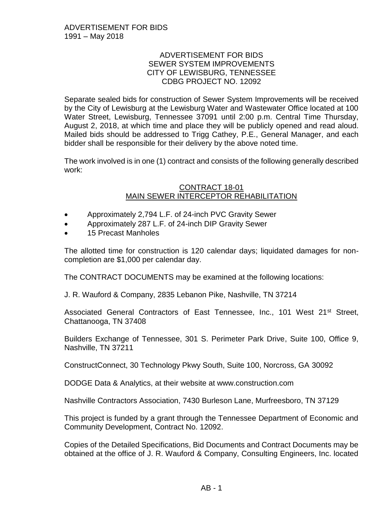#### ADVERTISEMENT FOR BIDS SEWER SYSTEM IMPROVEMENTS CITY OF LEWISBURG, TENNESSEE CDBG PROJECT NO. 12092

Separate sealed bids for construction of Sewer System Improvements will be received by the City of Lewisburg at the Lewisburg Water and Wastewater Office located at 100 Water Street, Lewisburg, Tennessee 37091 until 2:00 p.m. Central Time Thursday, August 2, 2018, at which time and place they will be publicly opened and read aloud. Mailed bids should be addressed to Trigg Cathey, P.E., General Manager, and each bidder shall be responsible for their delivery by the above noted time.

The work involved is in one (1) contract and consists of the following generally described work:

#### CONTRACT 18-01 MAIN SEWER INTERCEPTOR REHABILITATION

- Approximately 2,794 L.F. of 24-inch PVC Gravity Sewer
- Approximately 287 L.F. of 24-inch DIP Gravity Sewer
- 15 Precast Manholes

The allotted time for construction is 120 calendar days; liquidated damages for noncompletion are \$1,000 per calendar day.

The CONTRACT DOCUMENTS may be examined at the following locations:

J. R. Wauford & Company, 2835 Lebanon Pike, Nashville, TN 37214

Associated General Contractors of East Tennessee, Inc., 101 West 21<sup>st</sup> Street, Chattanooga, TN 37408

Builders Exchange of Tennessee, 301 S. Perimeter Park Drive, Suite 100, Office 9, Nashville, TN 37211

ConstructConnect, 30 Technology Pkwy South, Suite 100, Norcross, GA 30092

DODGE Data & Analytics, at their website at www.construction.com

Nashville Contractors Association, 7430 Burleson Lane, Murfreesboro, TN 37129

This project is funded by a grant through the Tennessee Department of Economic and Community Development, Contract No. 12092.

Copies of the Detailed Specifications, Bid Documents and Contract Documents may be obtained at the office of J. R. Wauford & Company, Consulting Engineers, Inc. located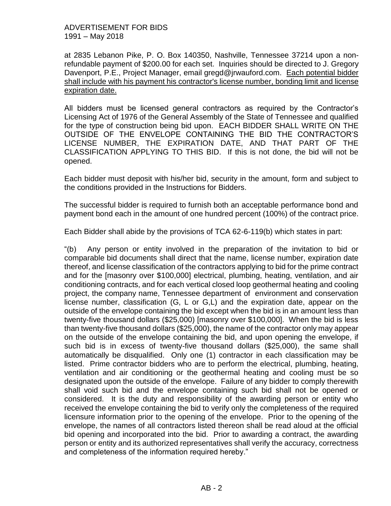#### ADVERTISEMENT FOR BIDS 1991 – May 2018

at 2835 Lebanon Pike, P. O. Box 140350, Nashville, Tennessee 37214 upon a nonrefundable payment of \$200.00 for each set. Inquiries should be directed to J. Gregory Davenport, P.E., Project Manager, email gregd@jrwauford.com. Each potential bidder shall include with his payment his contractor's license number, bonding limit and license expiration date.

All bidders must be licensed general contractors as required by the Contractor's Licensing Act of 1976 of the General Assembly of the State of Tennessee and qualified for the type of construction being bid upon. EACH BIDDER SHALL WRITE ON THE OUTSIDE OF THE ENVELOPE CONTAINING THE BID THE CONTRACTOR'S LICENSE NUMBER, THE EXPIRATION DATE, AND THAT PART OF THE CLASSIFICATION APPLYING TO THIS BID. If this is not done, the bid will not be opened.

Each bidder must deposit with his/her bid, security in the amount, form and subject to the conditions provided in the Instructions for Bidders.

The successful bidder is required to furnish both an acceptable performance bond and payment bond each in the amount of one hundred percent (100%) of the contract price.

Each Bidder shall abide by the provisions of TCA 62-6-119(b) which states in part:

"(b) Any person or entity involved in the preparation of the invitation to bid or comparable bid documents shall direct that the name, license number, expiration date thereof, and license classification of the contractors applying to bid for the prime contract and for the [masonry over \$100,000] electrical, plumbing, heating, ventilation, and air conditioning contracts, and for each vertical closed loop geothermal heating and cooling project, the company name, Tennessee department of environment and conservation license number, classification (G, L or G,L) and the expiration date, appear on the outside of the envelope containing the bid except when the bid is in an amount less than twenty-five thousand dollars (\$25,000) [masonry over \$100,000]. When the bid is less than twenty-five thousand dollars (\$25,000), the name of the contractor only may appear on the outside of the envelope containing the bid, and upon opening the envelope, if such bid is in excess of twenty-five thousand dollars (\$25,000), the same shall automatically be disqualified. Only one (1) contractor in each classification may be listed. Prime contractor bidders who are to perform the electrical, plumbing, heating, ventilation and air conditioning or the geothermal heating and cooling must be so designated upon the outside of the envelope. Failure of any bidder to comply therewith shall void such bid and the envelope containing such bid shall not be opened or considered. It is the duty and responsibility of the awarding person or entity who received the envelope containing the bid to verify only the completeness of the required licensure information prior to the opening of the envelope. Prior to the opening of the envelope, the names of all contractors listed thereon shall be read aloud at the official bid opening and incorporated into the bid. Prior to awarding a contract, the awarding person or entity and its authorized representatives shall verify the accuracy, correctness and completeness of the information required hereby."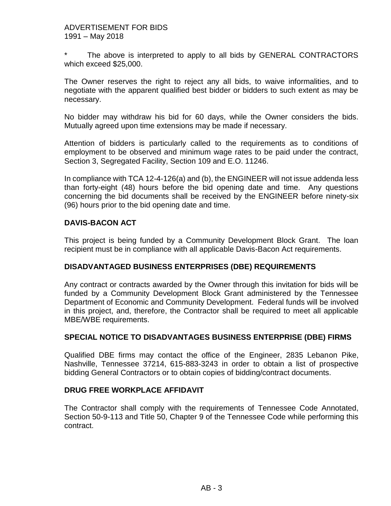The above is interpreted to apply to all bids by GENERAL CONTRACTORS which exceed \$25,000.

The Owner reserves the right to reject any all bids, to waive informalities, and to negotiate with the apparent qualified best bidder or bidders to such extent as may be necessary.

No bidder may withdraw his bid for 60 days, while the Owner considers the bids. Mutually agreed upon time extensions may be made if necessary.

Attention of bidders is particularly called to the requirements as to conditions of employment to be observed and minimum wage rates to be paid under the contract, Section 3, Segregated Facility, Section 109 and E.O. 11246.

In compliance with TCA 12-4-126(a) and (b), the ENGINEER will not issue addenda less than forty-eight (48) hours before the bid opening date and time. Any questions concerning the bid documents shall be received by the ENGINEER before ninety-six (96) hours prior to the bid opening date and time.

## **DAVIS-BACON ACT**

This project is being funded by a Community Development Block Grant. The loan recipient must be in compliance with all applicable Davis-Bacon Act requirements.

### **DISADVANTAGED BUSINESS ENTERPRISES (DBE) REQUIREMENTS**

Any contract or contracts awarded by the Owner through this invitation for bids will be funded by a Community Development Block Grant administered by the Tennessee Department of Economic and Community Development. Federal funds will be involved in this project, and, therefore, the Contractor shall be required to meet all applicable MBE/WBE requirements.

### **SPECIAL NOTICE TO DISADVANTAGES BUSINESS ENTERPRISE (DBE) FIRMS**

Qualified DBE firms may contact the office of the Engineer, 2835 Lebanon Pike, Nashville, Tennessee 37214, 615-883-3243 in order to obtain a list of prospective bidding General Contractors or to obtain copies of bidding/contract documents.

### **DRUG FREE WORKPLACE AFFIDAVIT**

The Contractor shall comply with the requirements of Tennessee Code Annotated, Section 50-9-113 and Title 50, Chapter 9 of the Tennessee Code while performing this contract.